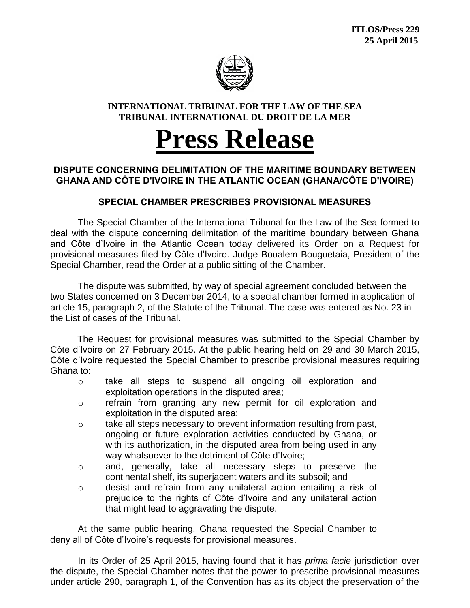

## **INTERNATIONAL TRIBUNAL FOR THE LAW OF THE SEA TRIBUNAL INTERNATIONAL DU DROIT DE LA MER**

## **Press Release**

## **DISPUTE CONCERNING DELIMITATION OF THE MARITIME BOUNDARY BETWEEN GHANA AND CÔTE D'IVOIRE IN THE ATLANTIC OCEAN (GHANA/CÔTE D'IVOIRE)**

## **SPECIAL CHAMBER PRESCRIBES PROVISIONAL MEASURES**

The Special Chamber of the International Tribunal for the Law of the Sea formed to deal with the dispute concerning delimitation of the maritime boundary between Ghana and Côte d'Ivoire in the Atlantic Ocean today delivered its Order on a Request for provisional measures filed by Côte d'Ivoire. Judge Boualem Bouguetaia, President of the Special Chamber, read the Order at a public sitting of the Chamber.

The dispute was submitted, by way of special agreement concluded between the two States concerned on 3 December 2014, to a special chamber formed in application of article 15, paragraph 2, of the Statute of the Tribunal. The case was entered as No. 23 in the List of cases of the Tribunal.

The Request for provisional measures was submitted to the Special Chamber by Côte d'Ivoire on 27 February 2015. At the public hearing held on 29 and 30 March 2015, Côte d'Ivoire requested the Special Chamber to prescribe provisional measures requiring Ghana to:

- o take all steps to suspend all ongoing oil exploration and exploitation operations in the disputed area;
- o refrain from granting any new permit for oil exploration and exploitation in the disputed area;
- $\circ$  take all steps necessary to prevent information resulting from past, ongoing or future exploration activities conducted by Ghana, or with its authorization, in the disputed area from being used in any way whatsoever to the detriment of Côte d'Ivoire;
- o and, generally, take all necessary steps to preserve the continental shelf, its superjacent waters and its subsoil; and
- $\circ$  desist and refrain from any unilateral action entailing a risk of prejudice to the rights of Côte d'Ivoire and any unilateral action that might lead to aggravating the dispute.

At the same public hearing, Ghana requested the Special Chamber to deny all of Côte d'Ivoire's requests for provisional measures.

In its Order of 25 April 2015, having found that it has *prima facie* jurisdiction over the dispute, the Special Chamber notes that the power to prescribe provisional measures under article 290, paragraph 1, of the Convention has as its object the preservation of the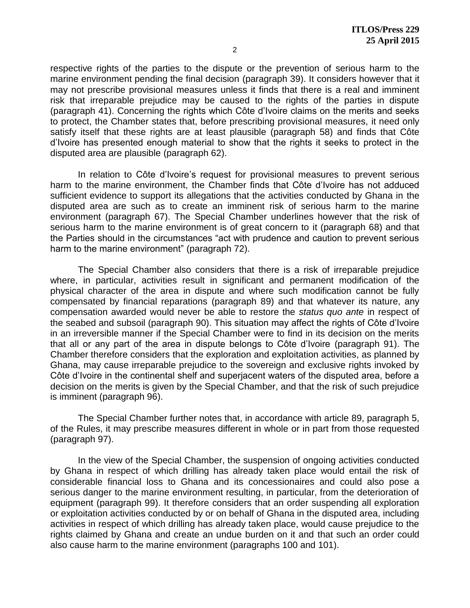respective rights of the parties to the dispute or the prevention of serious harm to the marine environment pending the final decision (paragraph 39). It considers however that it may not prescribe provisional measures unless it finds that there is a real and imminent risk that irreparable prejudice may be caused to the rights of the parties in dispute (paragraph 41). Concerning the rights which Côte d'Ivoire claims on the merits and seeks to protect, the Chamber states that, before prescribing provisional measures, it need only satisfy itself that these rights are at least plausible (paragraph 58) and finds that Côte d'Ivoire has presented enough material to show that the rights it seeks to protect in the disputed area are plausible (paragraph 62).

In relation to Côte d'Ivoire's request for provisional measures to prevent serious harm to the marine environment, the Chamber finds that Côte d'Ivoire has not adduced sufficient evidence to support its allegations that the activities conducted by Ghana in the disputed area are such as to create an imminent risk of serious harm to the marine environment (paragraph 67). The Special Chamber underlines however that the risk of serious harm to the marine environment is of great concern to it (paragraph 68) and that the Parties should in the circumstances "act with prudence and caution to prevent serious harm to the marine environment" (paragraph 72).

The Special Chamber also considers that there is a risk of irreparable prejudice where, in particular, activities result in significant and permanent modification of the physical character of the area in dispute and where such modification cannot be fully compensated by financial reparations (paragraph 89) and that whatever its nature, any compensation awarded would never be able to restore the *status quo ante* in respect of the seabed and subsoil (paragraph 90). This situation may affect the rights of Côte d'Ivoire in an irreversible manner if the Special Chamber were to find in its decision on the merits that all or any part of the area in dispute belongs to Côte d'Ivoire (paragraph 91). The Chamber therefore considers that the exploration and exploitation activities, as planned by Ghana, may cause irreparable prejudice to the sovereign and exclusive rights invoked by Côte d'Ivoire in the continental shelf and superjacent waters of the disputed area, before a decision on the merits is given by the Special Chamber, and that the risk of such prejudice is imminent (paragraph 96).

The Special Chamber further notes that, in accordance with article 89, paragraph 5, of the Rules, it may prescribe measures different in whole or in part from those requested (paragraph 97).

In the view of the Special Chamber, the suspension of ongoing activities conducted by Ghana in respect of which drilling has already taken place would entail the risk of considerable financial loss to Ghana and its concessionaires and could also pose a serious danger to the marine environment resulting, in particular, from the deterioration of equipment (paragraph 99). It therefore considers that an order suspending all exploration or exploitation activities conducted by or on behalf of Ghana in the disputed area, including activities in respect of which drilling has already taken place, would cause prejudice to the rights claimed by Ghana and create an undue burden on it and that such an order could also cause harm to the marine environment (paragraphs 100 and 101).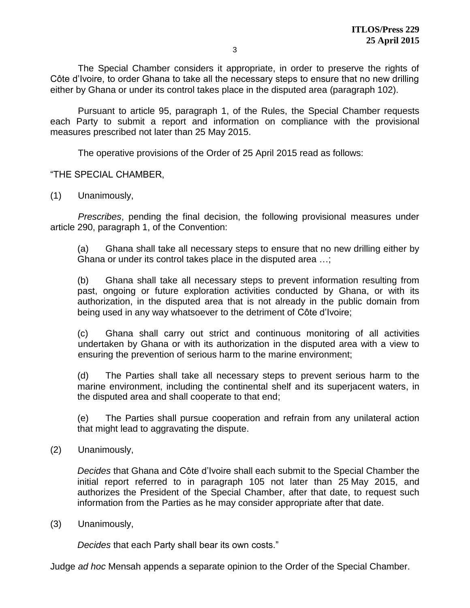The Special Chamber considers it appropriate, in order to preserve the rights of Côte d'Ivoire, to order Ghana to take all the necessary steps to ensure that no new drilling either by Ghana or under its control takes place in the disputed area (paragraph 102).

Pursuant to article 95, paragraph 1, of the Rules, the Special Chamber requests each Party to submit a report and information on compliance with the provisional measures prescribed not later than 25 May 2015.

The operative provisions of the Order of 25 April 2015 read as follows:

"THE SPECIAL CHAMBER,

(1) Unanimously,

*Prescribes*, pending the final decision, the following provisional measures under article 290, paragraph 1, of the Convention:

(a) Ghana shall take all necessary steps to ensure that no new drilling either by Ghana or under its control takes place in the disputed area …;

(b) Ghana shall take all necessary steps to prevent information resulting from past, ongoing or future exploration activities conducted by Ghana, or with its authorization, in the disputed area that is not already in the public domain from being used in any way whatsoever to the detriment of Côte d'Ivoire;

(c) Ghana shall carry out strict and continuous monitoring of all activities undertaken by Ghana or with its authorization in the disputed area with a view to ensuring the prevention of serious harm to the marine environment;

(d) The Parties shall take all necessary steps to prevent serious harm to the marine environment, including the continental shelf and its superjacent waters, in the disputed area and shall cooperate to that end;

(e) The Parties shall pursue cooperation and refrain from any unilateral action that might lead to aggravating the dispute.

(2) Unanimously,

*Decides* that Ghana and Côte d'Ivoire shall each submit to the Special Chamber the initial report referred to in paragraph 105 not later than 25 May 2015, and authorizes the President of the Special Chamber, after that date, to request such information from the Parties as he may consider appropriate after that date.

(3) Unanimously,

*Decides* that each Party shall bear its own costs."

Judge *ad hoc* Mensah appends a separate opinion to the Order of the Special Chamber.